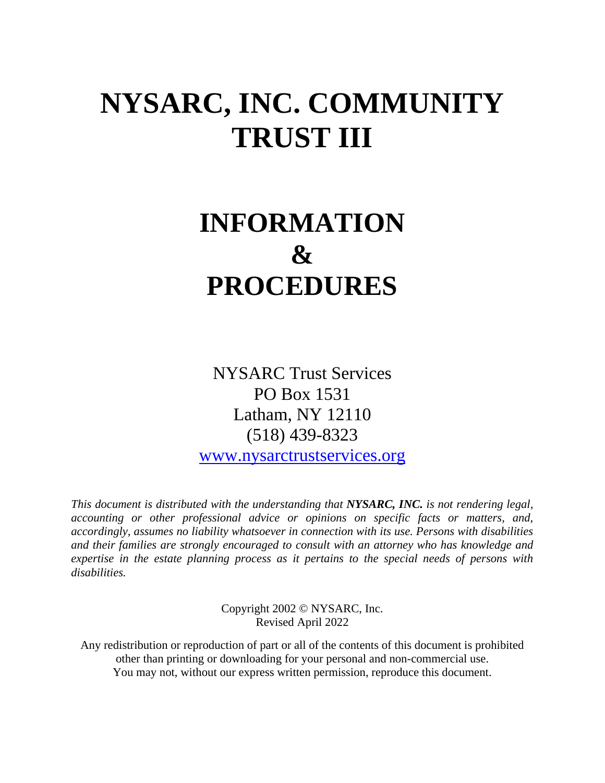# **NYSARC, INC. COMMUNITY TRUST III**

# **INFORMATION & PROCEDURES**

NYSARC Trust Services PO Box 1531 Latham, NY 12110 (518) 439-8323

[www.nysarctrustservices.org](http://www.nysarctrustservices.org/)

*This document is distributed with the understanding that NYSARC, INC. is not rendering legal, accounting or other professional advice or opinions on specific facts or matters, and, accordingly, assumes no liability whatsoever in connection with its use. Persons with disabilities and their families are strongly encouraged to consult with an attorney who has knowledge and expertise in the estate planning process as it pertains to the special needs of persons with disabilities.*

> Copyright 2002 © NYSARC, Inc. Revised April 2022

Any redistribution or reproduction of part or all of the contents of this document is prohibited other than printing or downloading for your personal and non-commercial use. You may not, without our express written permission, reproduce this document.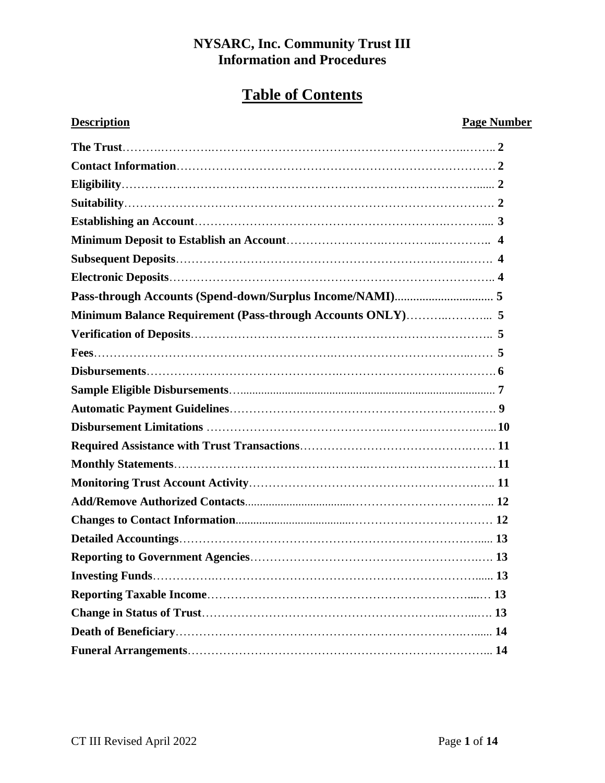# **Table of Contents**

# **Description Page Number**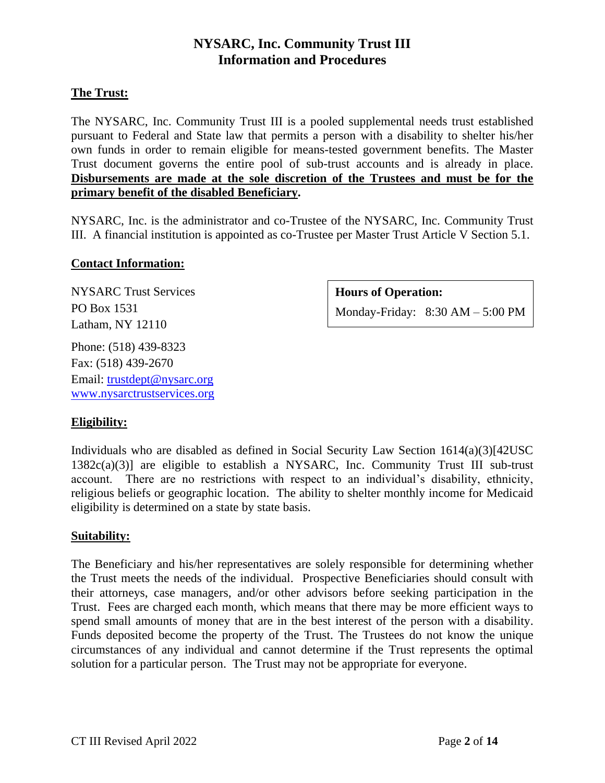# **The Trust:**

The NYSARC, Inc. Community Trust III is a pooled supplemental needs trust established pursuant to Federal and State law that permits a person with a disability to shelter his/her own funds in order to remain eligible for means-tested government benefits. The Master Trust document governs the entire pool of sub-trust accounts and is already in place. **Disbursements are made at the sole discretion of the Trustees and must be for the primary benefit of the disabled Beneficiary.** 

NYSARC, Inc. is the administrator and co-Trustee of the NYSARC, Inc. Community Trust III. A financial institution is appointed as co-Trustee per Master Trust Article V Section 5.1.

# **Contact Information:**

NYSARC Trust Services PO Box 1531 Latham, NY 12110 Phone: (518) 439-8323

Fax: (518) 439-2670 Email: [trustdept@nysarc.org](mailto:trustdept@nysarc.org) [www.nysarctrustservices.org](http://www.nysarctrustservices.org/)

# **Hours of Operation:**

Monday-Friday: 8:30 AM – 5:00 PM

# **Eligibility:**

Individuals who are disabled as defined in Social Security Law Section  $1614(a)(3)[42USC]$ 1382c(a)(3)] are eligible to establish a NYSARC, Inc. Community Trust III sub-trust account. There are no restrictions with respect to an individual's disability, ethnicity, religious beliefs or geographic location. The ability to shelter monthly income for Medicaid eligibility is determined on a state by state basis.

# **Suitability:**

The Beneficiary and his/her representatives are solely responsible for determining whether the Trust meets the needs of the individual. Prospective Beneficiaries should consult with their attorneys, case managers, and/or other advisors before seeking participation in the Trust. Fees are charged each month, which means that there may be more efficient ways to spend small amounts of money that are in the best interest of the person with a disability. Funds deposited become the property of the Trust. The Trustees do not know the unique circumstances of any individual and cannot determine if the Trust represents the optimal solution for a particular person. The Trust may not be appropriate for everyone.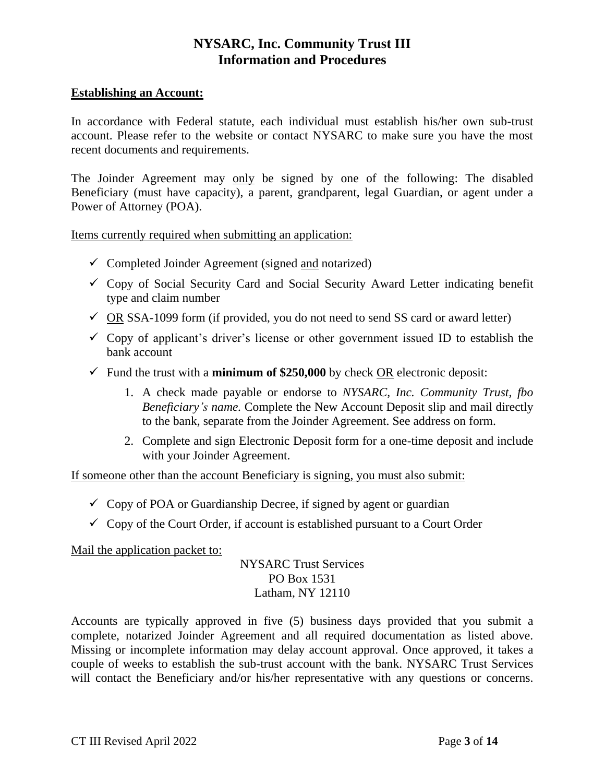## **Establishing an Account:**

In accordance with Federal statute, each individual must establish his/her own sub-trust account. Please refer to the website or contact NYSARC to make sure you have the most recent documents and requirements.

The Joinder Agreement may only be signed by one of the following: The disabled Beneficiary (must have capacity), a parent, grandparent, legal Guardian, or agent under a Power of Attorney (POA).

Items currently required when submitting an application:

- $\checkmark$  Completed Joinder Agreement (signed and notarized)
- $\checkmark$  Copy of Social Security Card and Social Security Award Letter indicating benefit type and claim number
- $\checkmark$  OR SSA-1099 form (if provided, you do not need to send SS card or award letter)
- $\checkmark$  Copy of applicant's driver's license or other government issued ID to establish the bank account
- $\checkmark$  Fund the trust with a **minimum of \$250,000** by check OR electronic deposit:
	- 1. A check made payable or endorse to *NYSARC, Inc. Community Trust, fbo Beneficiary's name.* Complete the New Account Deposit slip and mail directly to the bank, separate from the Joinder Agreement. See address on form.
	- 2. Complete and sign Electronic Deposit form for a one-time deposit and include with your Joinder Agreement.

If someone other than the account Beneficiary is signing, you must also submit:

- $\checkmark$  Copy of POA or Guardianship Decree, if signed by agent or guardian
- $\checkmark$  Copy of the Court Order, if account is established pursuant to a Court Order

# Mail the application packet to:

NYSARC Trust Services PO Box 1531 Latham, NY 12110

Accounts are typically approved in five (5) business days provided that you submit a complete, notarized Joinder Agreement and all required documentation as listed above. Missing or incomplete information may delay account approval. Once approved, it takes a couple of weeks to establish the sub-trust account with the bank. NYSARC Trust Services will contact the Beneficiary and/or his/her representative with any questions or concerns.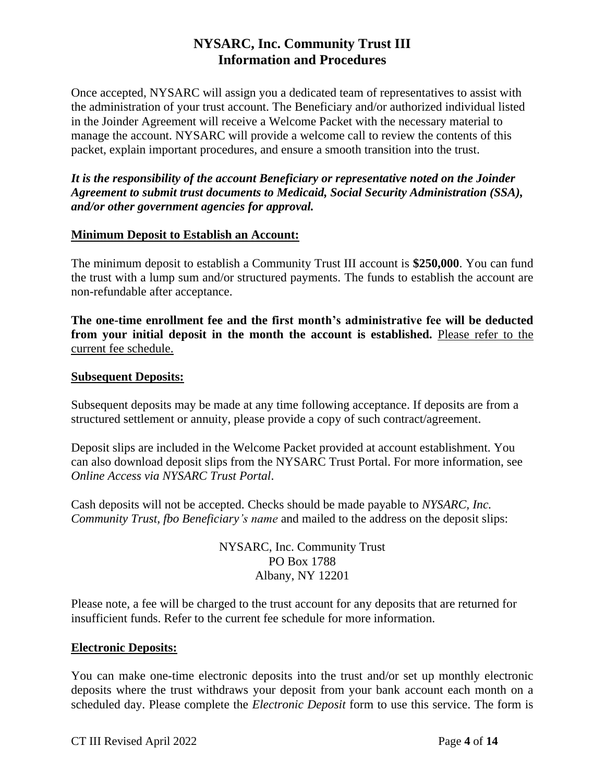Once accepted, NYSARC will assign you a dedicated team of representatives to assist with the administration of your trust account. The Beneficiary and/or authorized individual listed in the Joinder Agreement will receive a Welcome Packet with the necessary material to manage the account. NYSARC will provide a welcome call to review the contents of this packet, explain important procedures, and ensure a smooth transition into the trust.

*It is the responsibility of the account Beneficiary or representative noted on the Joinder Agreement to submit trust documents to Medicaid, Social Security Administration (SSA), and/or other government agencies for approval.*

## **Minimum Deposit to Establish an Account:**

The minimum deposit to establish a Community Trust III account is **\$250,000**. You can fund the trust with a lump sum and/or structured payments. The funds to establish the account are non-refundable after acceptance.

**The one-time enrollment fee and the first month's administrative fee will be deducted from your initial deposit in the month the account is established.** Please refer to the current fee schedule.

#### **Subsequent Deposits:**

Subsequent deposits may be made at any time following acceptance. If deposits are from a structured settlement or annuity, please provide a copy of such contract/agreement.

Deposit slips are included in the Welcome Packet provided at account establishment. You can also download deposit slips from the NYSARC Trust Portal. For more information, see *Online Access via NYSARC Trust Portal*.

Cash deposits will not be accepted. Checks should be made payable to *NYSARC, Inc. Community Trust, fbo Beneficiary's name* and mailed to the address on the deposit slips:

> NYSARC, Inc. Community Trust PO Box 1788 Albany, NY 12201

Please note, a fee will be charged to the trust account for any deposits that are returned for insufficient funds. Refer to the current fee schedule for more information.

#### **Electronic Deposits:**

You can make one-time electronic deposits into the trust and/or set up monthly electronic deposits where the trust withdraws your deposit from your bank account each month on a scheduled day. Please complete the *Electronic Deposit* form to use this service. The form is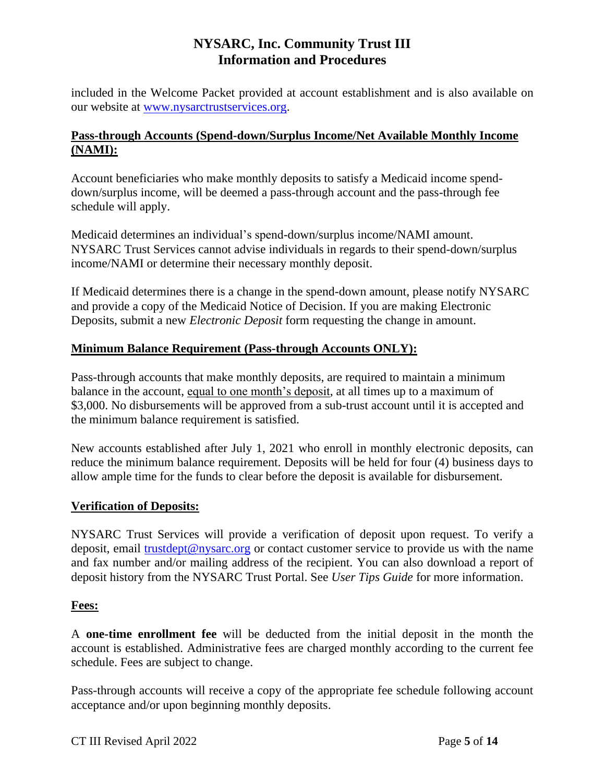included in the Welcome Packet provided at account establishment and is also available on our website at [www.nysarctrustservices.org.](http://www.nysarctrustservices.org/)

# **Pass-through Accounts (Spend-down/Surplus Income/Net Available Monthly Income (NAMI):**

Account beneficiaries who make monthly deposits to satisfy a Medicaid income spenddown/surplus income, will be deemed a pass-through account and the pass-through fee schedule will apply.

Medicaid determines an individual's spend-down/surplus income/NAMI amount. NYSARC Trust Services cannot advise individuals in regards to their spend-down/surplus income/NAMI or determine their necessary monthly deposit.

If Medicaid determines there is a change in the spend-down amount, please notify NYSARC and provide a copy of the Medicaid Notice of Decision. If you are making Electronic Deposits, submit a new *Electronic Deposit* form requesting the change in amount.

# **Minimum Balance Requirement (Pass-through Accounts ONLY):**

Pass-through accounts that make monthly deposits, are required to maintain a minimum balance in the account, equal to one month's deposit, at all times up to a maximum of \$3,000. No disbursements will be approved from a sub-trust account until it is accepted and the minimum balance requirement is satisfied.

New accounts established after July 1, 2021 who enroll in monthly electronic deposits, can reduce the minimum balance requirement. Deposits will be held for four (4) business days to allow ample time for the funds to clear before the deposit is available for disbursement.

# **Verification of Deposits:**

NYSARC Trust Services will provide a verification of deposit upon request. To verify a deposit, email [trustdept@nysarc.org](mailto:trustdept@nysarc.org) or contact customer service to provide us with the name and fax number and/or mailing address of the recipient. You can also download a report of deposit history from the NYSARC Trust Portal. See *User Tips Guide* for more information.

# **Fees:**

A **one-time enrollment fee** will be deducted from the initial deposit in the month the account is established. Administrative fees are charged monthly according to the current fee schedule. Fees are subject to change.

Pass-through accounts will receive a copy of the appropriate fee schedule following account acceptance and/or upon beginning monthly deposits.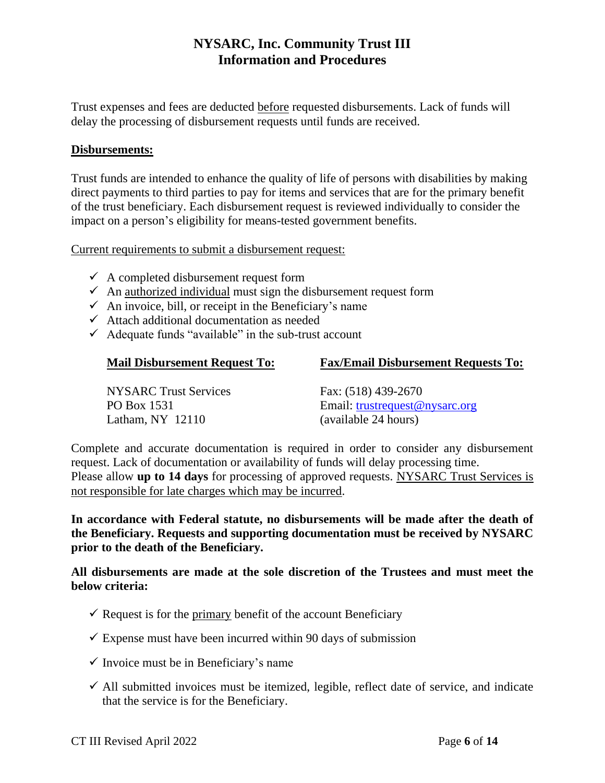Trust expenses and fees are deducted before requested disbursements. Lack of funds will delay the processing of disbursement requests until funds are received.

#### **Disbursements:**

Trust funds are intended to enhance the quality of life of persons with disabilities by making direct payments to third parties to pay for items and services that are for the primary benefit of the trust beneficiary. Each disbursement request is reviewed individually to consider the impact on a person's eligibility for means-tested government benefits.

Current requirements to submit a disbursement request:

- $\checkmark$  A completed disbursement request form
- $\checkmark$  An authorized individual must sign the disbursement request form
- $\checkmark$  An invoice, bill, or receipt in the Beneficiary's name
- $\checkmark$  Attach additional documentation as needed
- $\checkmark$  Adequate funds "available" in the sub-trust account

#### **Mail Disbursement Request To: Fax/Email Disbursement Requests To:**

| <b>NYSARC</b> Trust Services | Fax: (518) 439-2670            |
|------------------------------|--------------------------------|
| PO Box 1531                  | Email: trustrequest@nysarc.org |
| Latham, $NY$ 12110           | (available 24 hours)           |

Complete and accurate documentation is required in order to consider any disbursement request. Lack of documentation or availability of funds will delay processing time. Please allow **up to 14 days** for processing of approved requests. NYSARC Trust Services is not responsible for late charges which may be incurred.

**In accordance with Federal statute, no disbursements will be made after the death of the Beneficiary. Requests and supporting documentation must be received by NYSARC prior to the death of the Beneficiary.**

**All disbursements are made at the sole discretion of the Trustees and must meet the below criteria:**

- $\checkmark$  Request is for the primary benefit of the account Beneficiary
- $\checkmark$  Expense must have been incurred within 90 days of submission
- $\checkmark$  Invoice must be in Beneficiary's name
- $\checkmark$  All submitted invoices must be itemized, legible, reflect date of service, and indicate that the service is for the Beneficiary.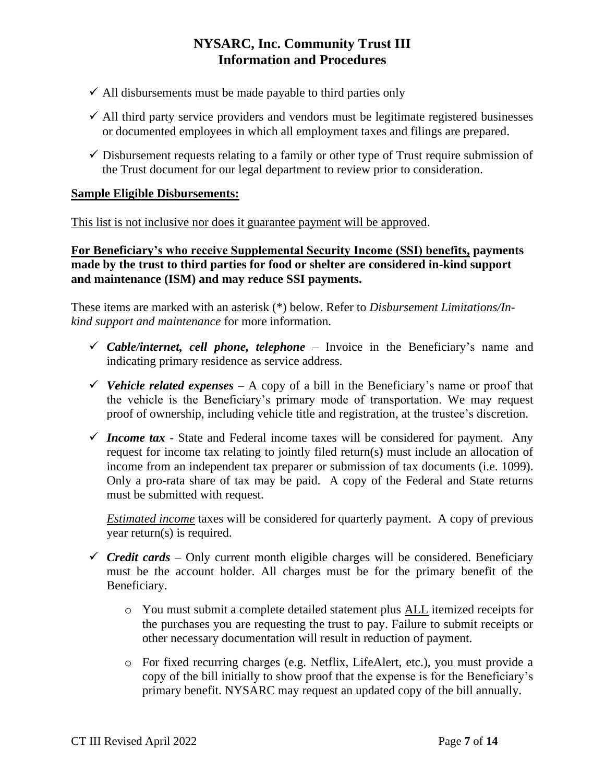- $\checkmark$  All disbursements must be made payable to third parties only
- $\checkmark$  All third party service providers and vendors must be legitimate registered businesses or documented employees in which all employment taxes and filings are prepared.
- $\checkmark$  Disbursement requests relating to a family or other type of Trust require submission of the Trust document for our legal department to review prior to consideration.

# **Sample Eligible Disbursements:**

This list is not inclusive nor does it guarantee payment will be approved.

**For Beneficiary's who receive Supplemental Security Income (SSI) benefits, payments made by the trust to third parties for food or shelter are considered in-kind support and maintenance (ISM) and may reduce SSI payments.**

These items are marked with an asterisk (\*) below. Refer to *Disbursement Limitations/Inkind support and maintenance* for more information.

- $\checkmark$  *Cable/internet, cell phone, telephone* Invoice in the Beneficiary's name and indicating primary residence as service address.
- $\checkmark$  Vehicle related expenses A copy of a bill in the Beneficiary's name or proof that the vehicle is the Beneficiary's primary mode of transportation. We may request proof of ownership, including vehicle title and registration, at the trustee's discretion.
- $\checkmark$  *Income tax* State and Federal income taxes will be considered for payment. Any request for income tax relating to jointly filed return(s) must include an allocation of income from an independent tax preparer or submission of tax documents (i.e. 1099). Only a pro-rata share of tax may be paid. A copy of the Federal and State returns must be submitted with request.

*Estimated income* taxes will be considered for quarterly payment. A copy of previous year return(s) is required.

- $\checkmark$  *Credit cards* Only current month eligible charges will be considered. Beneficiary must be the account holder. All charges must be for the primary benefit of the Beneficiary.
	- o You must submit a complete detailed statement plus ALL itemized receipts for the purchases you are requesting the trust to pay. Failure to submit receipts or other necessary documentation will result in reduction of payment.
	- o For fixed recurring charges (e.g. Netflix, LifeAlert, etc.), you must provide a copy of the bill initially to show proof that the expense is for the Beneficiary's primary benefit. NYSARC may request an updated copy of the bill annually.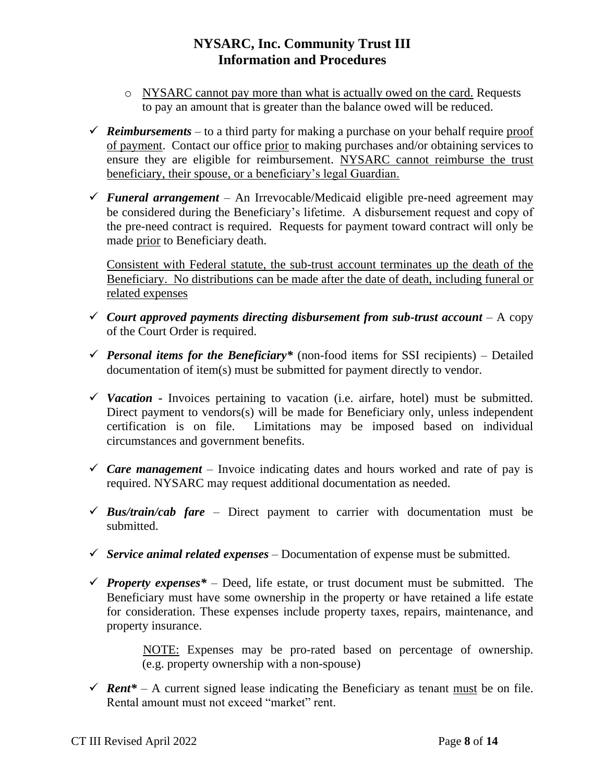- o NYSARC cannot pay more than what is actually owed on the card. Requests to pay an amount that is greater than the balance owed will be reduced.
- $\checkmark$  **Reimbursements** to a third party for making a purchase on your behalf require proof of payment. Contact our office prior to making purchases and/or obtaining services to ensure they are eligible for reimbursement. NYSARC cannot reimburse the trust beneficiary, their spouse, or a beneficiary's legal Guardian.
- ✓ *Funeral arrangement –* An Irrevocable/Medicaid eligible pre-need agreement may be considered during the Beneficiary's lifetime. A disbursement request and copy of the pre-need contract is required. Requests for payment toward contract will only be made prior to Beneficiary death.

Consistent with Federal statute, the sub-trust account terminates up the death of the Beneficiary. No distributions can be made after the date of death, including funeral or related expenses

- ✓ *Court approved payments directing disbursement from sub-trust account –* A copy of the Court Order is required.
- $\checkmark$  *Personal items for the Beneficiary*<sup>\*</sup> (non-food items for SSI recipients) Detailed documentation of item(s) must be submitted for payment directly to vendor.
- ✓ *Vacation* **-** Invoices pertaining to vacation (i.e. airfare, hotel) must be submitted. Direct payment to vendors(s) will be made for Beneficiary only, unless independent certification is on file. Limitations may be imposed based on individual circumstances and government benefits.
- $\checkmark$  *Care management* Invoice indicating dates and hours worked and rate of pay is required. NYSARC may request additional documentation as needed.
- $\checkmark$  *Bus/train/cab fare* Direct payment to carrier with documentation must be submitted.
- $\checkmark$  *Service animal related expenses* Documentation of expense must be submitted.
- $\checkmark$  *Property expenses*<sup>\*</sup> Deed, life estate, or trust document must be submitted. The Beneficiary must have some ownership in the property or have retained a life estate for consideration. These expenses include property taxes, repairs, maintenance, and property insurance.

 NOTE: Expenses may be pro-rated based on percentage of ownership. (e.g. property ownership with a non-spouse)

 $\checkmark$  **Rent**\* – A current signed lease indicating the Beneficiary as tenant <u>must</u> be on file. Rental amount must not exceed "market" rent.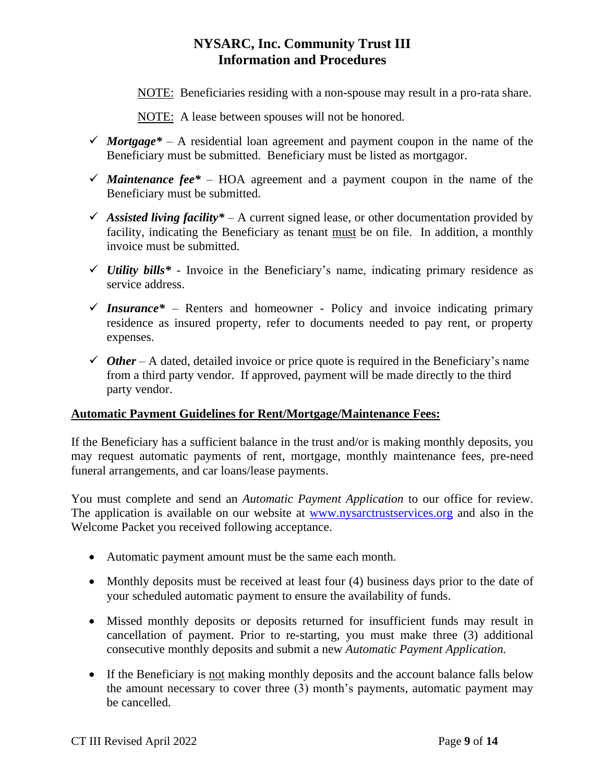- NOTE:Beneficiaries residing with a non-spouse may result in a pro-rata share.
- NOTE: A lease between spouses will not be honored*.*
- $\checkmark$  *Mortgage*<sup>\*</sup> A residential loan agreement and payment coupon in the name of the Beneficiary must be submitted. Beneficiary must be listed as mortgagor.
- $\checkmark$  *Maintenance fee*<sup>\*</sup> HOA agreement and a payment coupon in the name of the Beneficiary must be submitted.
- $\checkmark$  *Assisted living facility*\* A current signed lease, or other documentation provided by facility, indicating the Beneficiary as tenant must be on file. In addition, a monthly invoice must be submitted.
- ✓ *Utility bills\* -* Invoice in the Beneficiary's name, indicating primary residence as service address.
- $\checkmark$  Insurance<sup>\*</sup> Renters and homeowner Policy and invoice indicating primary residence as insured property, refer to documents needed to pay rent, or property expenses.
- $\checkmark$  *Other* A dated, detailed invoice or price quote is required in the Beneficiary's name from a third party vendor. If approved, payment will be made directly to the third party vendor.

# **Automatic Payment Guidelines for Rent/Mortgage/Maintenance Fees:**

If the Beneficiary has a sufficient balance in the trust and/or is making monthly deposits, you may request automatic payments of rent, mortgage, monthly maintenance fees, pre-need funeral arrangements, and car loans/lease payments.

You must complete and send an *Automatic Payment Application* to our office for review. The application is available on our website at [www.nysarctrustservices.org](http://www.nysarctrustservices.org/) and also in the Welcome Packet you received following acceptance.

- Automatic payment amount must be the same each month.
- Monthly deposits must be received at least four (4) business days prior to the date of your scheduled automatic payment to ensure the availability of funds.
- Missed monthly deposits or deposits returned for insufficient funds may result in cancellation of payment. Prior to re-starting, you must make three (3) additional consecutive monthly deposits and submit a new *Automatic Payment Application.*
- If the Beneficiary is not making monthly deposits and the account balance falls below the amount necessary to cover three (3) month's payments, automatic payment may be cancelled.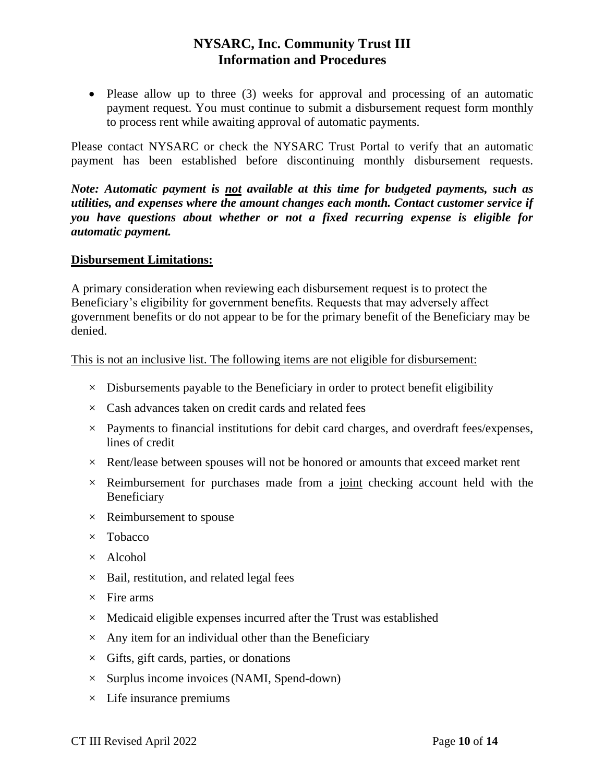• Please allow up to three (3) weeks for approval and processing of an automatic payment request. You must continue to submit a disbursement request form monthly to process rent while awaiting approval of automatic payments.

Please contact NYSARC or check the NYSARC Trust Portal to verify that an automatic payment has been established before discontinuing monthly disbursement requests.

*Note: Automatic payment is not available at this time for budgeted payments, such as utilities, and expenses where the amount changes each month. Contact customer service if you have questions about whether or not a fixed recurring expense is eligible for automatic payment.*

## **Disbursement Limitations:**

A primary consideration when reviewing each disbursement request is to protect the Beneficiary's eligibility for government benefits. Requests that may adversely affect government benefits or do not appear to be for the primary benefit of the Beneficiary may be denied.

#### This is not an inclusive list. The following items are not eligible for disbursement:

- $\times$  Disbursements payable to the Beneficiary in order to protect benefit eligibility
- $\times$  Cash advances taken on credit cards and related fees
- $\times$  Payments to financial institutions for debit card charges, and overdraft fees/expenses, lines of credit
- $\times$  Rent/lease between spouses will not be honored or amounts that exceed market rent
- $\times$  Reimbursement for purchases made from a joint checking account held with the Beneficiary
- $\times$  Reimbursement to spouse
- $\times$  Tobacco
- $\times$  Alcohol
- $\times$  Bail, restitution, and related legal fees
- $\times$  Fire arms
- $\times$  Medicaid eligible expenses incurred after the Trust was established
- $\times$  Any item for an individual other than the Beneficiary
- $\times$  Gifts, gift cards, parties, or donations
- $\times$  Surplus income invoices (NAMI, Spend-down)
- $\times$  Life insurance premiums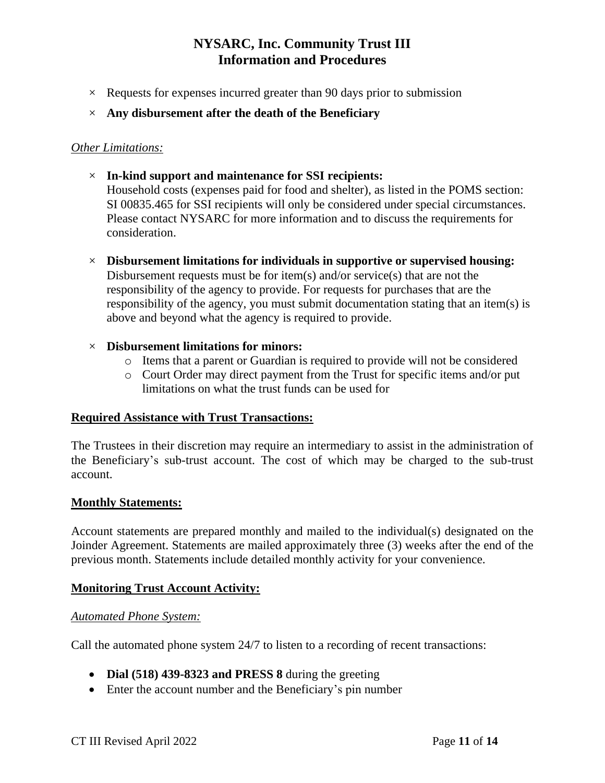- $\times$  Requests for expenses incurred greater than 90 days prior to submission
- × **Any disbursement after the death of the Beneficiary**

above and beyond what the agency is required to provide.

## *Other Limitations:*

- × **In-kind support and maintenance for SSI recipients:** Household costs (expenses paid for food and shelter), as listed in the POMS section: SI 00835.465 for SSI recipients will only be considered under special circumstances. Please contact NYSARC for more information and to discuss the requirements for consideration.
- × **Disbursement limitations for individuals in supportive or supervised housing:** Disbursement requests must be for item(s) and/or service(s) that are not the responsibility of the agency to provide. For requests for purchases that are the responsibility of the agency, you must submit documentation stating that an item(s) is

## × **Disbursement limitations for minors:**

- o Items that a parent or Guardian is required to provide will not be considered
- o Court Order may direct payment from the Trust for specific items and/or put limitations on what the trust funds can be used for

#### **Required Assistance with Trust Transactions:**

The Trustees in their discretion may require an intermediary to assist in the administration of the Beneficiary's sub-trust account. The cost of which may be charged to the sub-trust account.

#### **Monthly Statements:**

Account statements are prepared monthly and mailed to the individual(s) designated on the Joinder Agreement. Statements are mailed approximately three (3) weeks after the end of the previous month. Statements include detailed monthly activity for your convenience.

#### **Monitoring Trust Account Activity:**

#### *Automated Phone System:*

Call the automated phone system 24/7 to listen to a recording of recent transactions:

- **Dial (518) 439-8323 and PRESS 8** during the greeting
- Enter the account number and the Beneficiary's pin number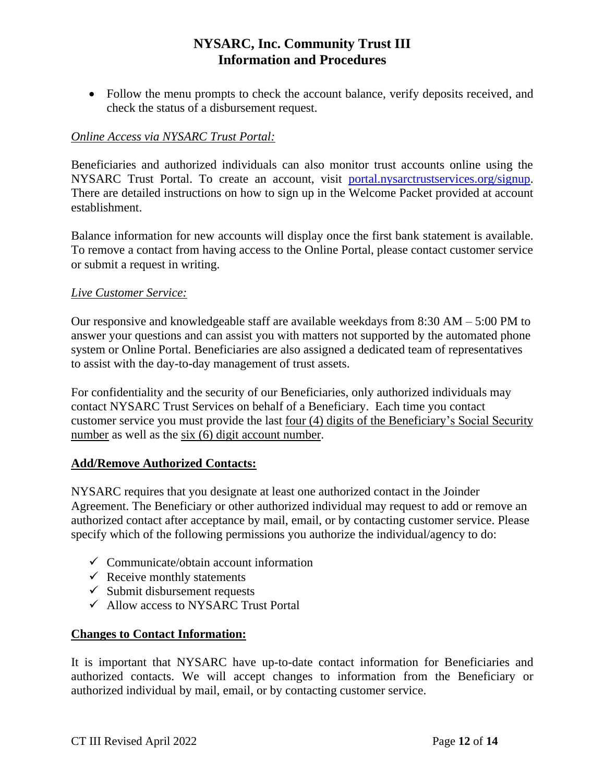• Follow the menu prompts to check the account balance, verify deposits received, and check the status of a disbursement request.

# *Online Access via NYSARC Trust Portal:*

Beneficiaries and authorized individuals can also monitor trust accounts online using the NYSARC Trust Portal. To create an account, visit [portal.nysarctrustservices.org/signup.](https://portal.nysarctrustservices.org/signup) There are detailed instructions on how to sign up in the Welcome Packet provided at account establishment.

Balance information for new accounts will display once the first bank statement is available. To remove a contact from having access to the Online Portal, please contact customer service or submit a request in writing.

# *Live Customer Service:*

Our responsive and knowledgeable staff are available weekdays from 8:30 AM – 5:00 PM to answer your questions and can assist you with matters not supported by the automated phone system or Online Portal. Beneficiaries are also assigned a dedicated team of representatives to assist with the day-to-day management of trust assets.

For confidentiality and the security of our Beneficiaries, only authorized individuals may contact NYSARC Trust Services on behalf of a Beneficiary. Each time you contact customer service you must provide the last four (4) digits of the Beneficiary's Social Security number as well as the six (6) digit account number.

# **Add/Remove Authorized Contacts:**

NYSARC requires that you designate at least one authorized contact in the Joinder Agreement. The Beneficiary or other authorized individual may request to add or remove an authorized contact after acceptance by mail, email, or by contacting customer service. Please specify which of the following permissions you authorize the individual/agency to do:

- $\checkmark$  Communicate/obtain account information
- $\checkmark$  Receive monthly statements
- $\checkmark$  Submit disbursement requests
- $\checkmark$  Allow access to NYSARC Trust Portal

# **Changes to Contact Information:**

It is important that NYSARC have up-to-date contact information for Beneficiaries and authorized contacts. We will accept changes to information from the Beneficiary or authorized individual by mail, email, or by contacting customer service.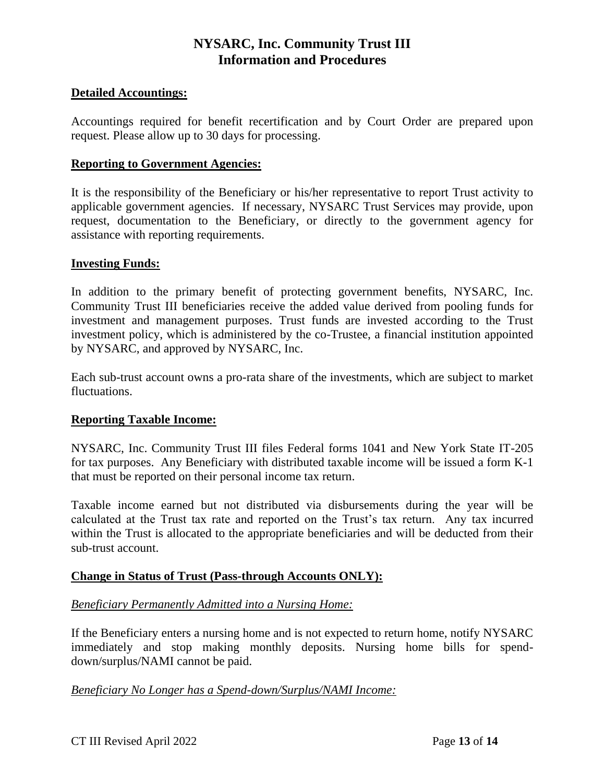# **Detailed Accountings:**

Accountings required for benefit recertification and by Court Order are prepared upon request. Please allow up to 30 days for processing.

## **Reporting to Government Agencies:**

It is the responsibility of the Beneficiary or his/her representative to report Trust activity to applicable government agencies. If necessary, NYSARC Trust Services may provide, upon request, documentation to the Beneficiary, or directly to the government agency for assistance with reporting requirements.

## **Investing Funds:**

In addition to the primary benefit of protecting government benefits, NYSARC, Inc. Community Trust III beneficiaries receive the added value derived from pooling funds for investment and management purposes. Trust funds are invested according to the Trust investment policy, which is administered by the co-Trustee, a financial institution appointed by NYSARC, and approved by NYSARC, Inc.

Each sub-trust account owns a pro-rata share of the investments, which are subject to market fluctuations.

# **Reporting Taxable Income:**

NYSARC, Inc. Community Trust III files Federal forms 1041 and New York State IT-205 for tax purposes. Any Beneficiary with distributed taxable income will be issued a form K-1 that must be reported on their personal income tax return.

Taxable income earned but not distributed via disbursements during the year will be calculated at the Trust tax rate and reported on the Trust's tax return. Any tax incurred within the Trust is allocated to the appropriate beneficiaries and will be deducted from their sub-trust account.

# **Change in Status of Trust (Pass-through Accounts ONLY):**

#### *Beneficiary Permanently Admitted into a Nursing Home:*

If the Beneficiary enters a nursing home and is not expected to return home, notify NYSARC immediately and stop making monthly deposits. Nursing home bills for spenddown/surplus/NAMI cannot be paid.

#### *Beneficiary No Longer has a Spend-down/Surplus/NAMI Income:*